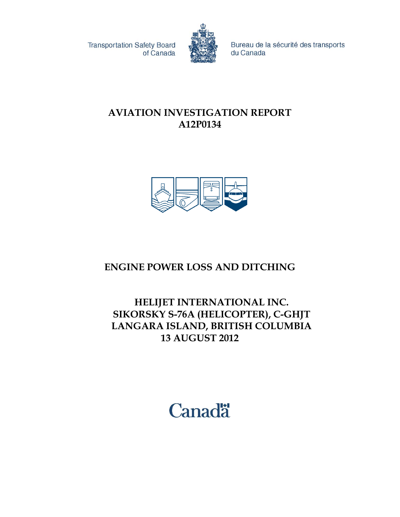**Transportation Safety Board** of Canada



Bureau de la sécurité des transports du Canada

## **AVIATION INVESTIGATION REPORT A12P0134**



# **ENGINE POWER LOSS AND DITCHING**

## **HELIJET INTERNATIONAL INC. SIKORSKY S-76A (HELICOPTER), C-GHJT LANGARA ISLAND, BRITISH COLUMBIA 13 AUGUST 2012**

Canadä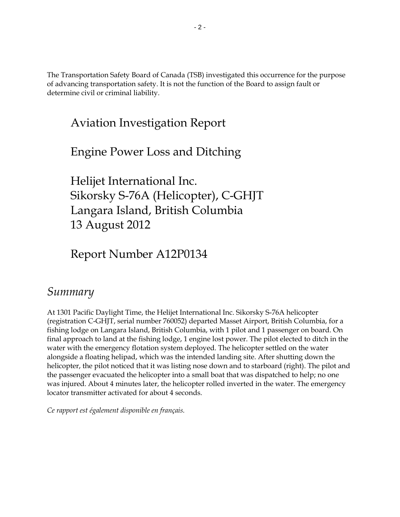The Transportation Safety Board of Canada (TSB) investigated this occurrence for the purpose of advancing transportation safety. It is not the function of the Board to assign fault or determine civil or criminal liability.

# Aviation Investigation Report

Engine Power Loss and Ditching

Helijet International Inc. Sikorsky S-76A (Helicopter), C-GHJT Langara Island, British Columbia 13 August 2012

Report Number A12P0134

# *Summary*

At 1301 Pacific Daylight Time, the Helijet International Inc. Sikorsky S-76A helicopter (registration C-GHJT, serial number 760052) departed Masset Airport, British Columbia, for a fishing lodge on Langara Island, British Columbia, with 1 pilot and 1 passenger on board. On final approach to land at the fishing lodge, 1 engine lost power. The pilot elected to ditch in the water with the emergency flotation system deployed. The helicopter settled on the water alongside a floating helipad, which was the intended landing site. After shutting down the helicopter, the pilot noticed that it was listing nose down and to starboard (right). The pilot and the passenger evacuated the helicopter into a small boat that was dispatched to help; no one was injured. About 4 minutes later, the helicopter rolled inverted in the water. The emergency locator transmitter activated for about 4 seconds.

*Ce rapport est également disponible en français.*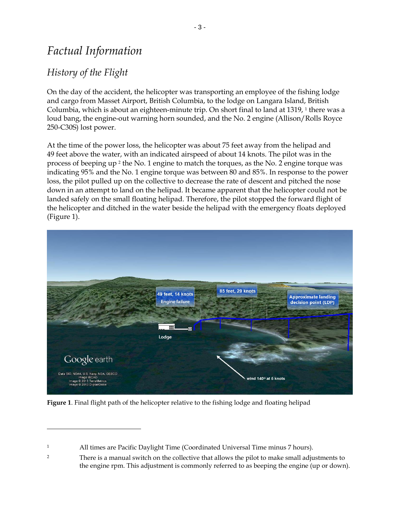# *Factual Information*

## *History of the Flight*

 $\overline{a}$ 

On the day of the accident, the helicopter was transporting an employee of the fishing lodge and cargo from Masset Airport, British Columbia, to the lodge on Langara Island, British Columbia, which is about an eighteen-minute trip. On short final to land at 1319, <sup>1</sup> there was a loud bang, the engine-out warning horn sounded, and the No. 2 engine (Allison/Rolls Royce 250-C30S) lost power.

At the time of the power loss, the helicopter was about 75 feet away from the helipad and 49 feet above the water, with an indicated airspeed of about 14 knots. The pilot was in the process of beeping up <sup>2</sup> the No. 1 engine to match the torques, as the No. 2 engine torque was indicating 95% and the No. 1 engine torque was between 80 and 85%. In response to the power loss, the pilot pulled up on the collective to decrease the rate of descent and pitched the nose down in an attempt to land on the helipad. It became apparent that the helicopter could not be landed safely on the small floating helipad. Therefore, the pilot stopped the forward flight of the helicopter and ditched in the water beside the helipad with the emergency floats deployed [\(Figure 1\)](#page-2-0).



<span id="page-2-0"></span>**Figure 1**. Final flight path of the helicopter relative to the fishing lodge and floating helipad

<sup>1</sup> All times are Pacific Daylight Time (Coordinated Universal Time minus 7 hours).

<sup>&</sup>lt;sup>2</sup> There is a manual switch on the collective that allows the pilot to make small adjustments to the engine rpm. This adjustment is commonly referred to as beeping the engine (up or down).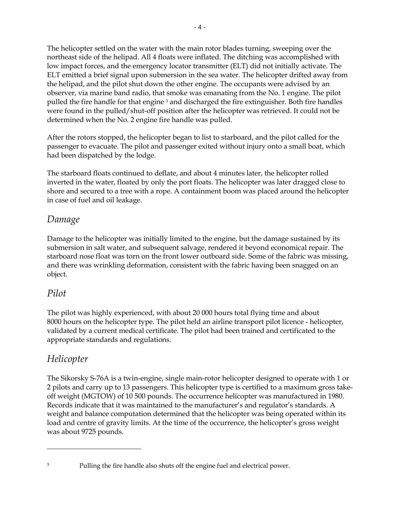The helicopter settled on the water with the main rotor blades turning, sweeping over the northeast side of the helipad. All 4 floats were inflated. The ditching was accomplished with low impact forces, and the emergency locator transmitter (ELT) did not initially activate. The ELT emitted a brief signal upon submersion in the sea water. The helicopter drifted away from the helipad, and the pilot shut down the other engine. The occupants were advised by an observer, via marine band radio, that smoke was emanating from the No. 1 engine. The pilot pulled the fire handle for that engine <sup>3</sup> and discharged the fire extinguisher. Both fire handles were found in the pulled/shut-off position after the helicopter was retrieved. It could not be determined when the No. 2 engine fire handle was pulled.

After the rotors stopped, the helicopter began to list to starboard, and the pilot called for the passenger to evacuate. The pilot and passenger exited without injury onto a small boat, which had been dispatched by the lodge.

The starboard floats continued to deflate, and about 4 minutes later, the helicopter rolled inverted in the water, floated by only the port floats. The helicopter was later dragged close to shore and secured to a tree with a rope. A containment boom was placed around the helicopter in case of fuel and oil leakage.

#### *Damage*

Damage to the helicopter was initially limited to the engine, but the damage sustained by its submersion in salt water, and subsequent salvage, rendered it beyond economical repair. The starboard nose float was torn on the front lower outboard side. Some of the fabric was missing, and there was wrinkling deformation, consistent with the fabric having been snagged on an object.

#### *Pilot*

The pilot was highly experienced, with about 20 000 hours total flying time and about 8000 hours on the helicopter type. The pilot held an airline transport pilot licence - helicopter, validated by a current medical certificate. The pilot had been trained and certificated to the appropriate standards and regulations.

## *Helicopter*

 $\overline{a}$ 

The Sikorsky S-76A is a twin-engine, single main-rotor helicopter designed to operate with 1 or 2 pilots and carry up to 13 passengers. This helicopter type is certified to a maximum gross takeoff weight (MGTOW) of 10 500 pounds. The occurrence helicopter was manufactured in 1980. Records indicate that it was maintained to the manufacturer's and regulator's standards. A weight and balance computation determined that the helicopter was being operated within its load and centre of gravity limits. At the time of the occurrence, the helicopter's gross weight was about 9725 pounds.

<sup>&</sup>lt;sup>3</sup> Pulling the fire handle also shuts off the engine fuel and electrical power.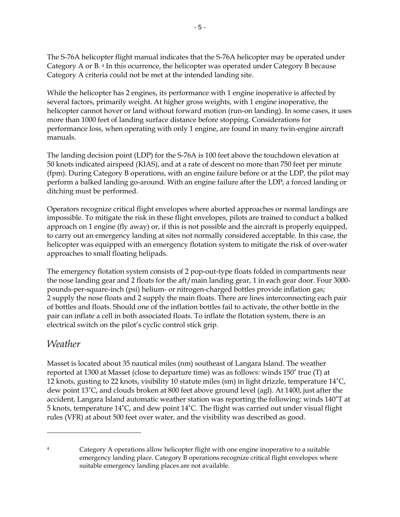The S-76A helicopter flight manual indicates that the S-76A helicopter may be operated under Category A or B. <sup>4</sup> In this ocurrence, the helicopter was operated under Category B because Category A criteria could not be met at the intended landing site.

While the helicopter has 2 engines, its performance with 1 engine inoperative is affected by several factors, primarily weight. At higher gross weights, with 1 engine inoperative, the helicopter cannot hover or land without forward motion (run-on landing). In some cases, it uses more than 1000 feet of landing surface distance before stopping. Considerations for performance loss, when operating with only 1 engine, are found in many twin-engine aircraft manuals.

The landing decision point (LDP) for the S-76A is 100 feet above the touchdown elevation at 50 knots indicated airspeed (KIAS), and at a rate of descent no more than 750 feet per minute (fpm). During Category B operations, with an engine failure before or at the LDP, the pilot may perform a balked landing go-around. With an engine failure after the LDP, a forced landing or ditching must be performed.

Operators recognize critical flight envelopes where aborted approaches or normal landings are impossible. To mitigate the risk in these flight envelopes, pilots are trained to conduct a balked approach on 1 engine (fly away) or, if this is not possible and the aircraft is properly equipped, to carry out an emergency landing at sites not normally considered acceptable. In this case, the helicopter was equipped with an emergency flotation system to mitigate the risk of over-water approaches to small floating helipads.

The emergency flotation system consists of 2 pop-out-type floats folded in compartments near the nose landing gear and 2 floats for the aft/main landing gear, 1 in each gear door. Four 3000 pounds-per-square-inch (psi) helium- or nitrogen-charged bottles provide inflation gas; 2 supply the nose floats and 2 supply the main floats. There are lines interconnecting each pair of bottles and floats. Should one of the inflation bottles fail to activate, the other bottle in the pair can inflate a cell in both associated floats. To inflate the flotation system, there is an electrical switch on the pilot's cyclic control stick grip.

#### *Weather*

 $\overline{a}$ 

Masset is located about 35 nautical miles (nm) southeast of Langara Island. The weather reported at 1300 at Masset (close to departure time) was as follows: winds 150˚ true (T) at 12 knots, gusting to 22 knots, visibility 10 statute miles (sm) in light drizzle, temperature 14˚C, dew point 13˚C, and clouds broken at 800 feet above ground level (agl). At 1400, just after the accident, Langara Island automatic weather station was reporting the following: winds 140˚T at 5 knots, temperature 14˚C, and dew point 14˚C. The flight was carried out under visual flight rules (VFR) at about 500 feet over water, and the visibility was described as good.

<sup>4</sup> Category A operations allow helicopter flight with one engine inoperative to a suitable emergency landing place. Category B operations recognize critical flight envelopes where suitable emergency landing places are not available.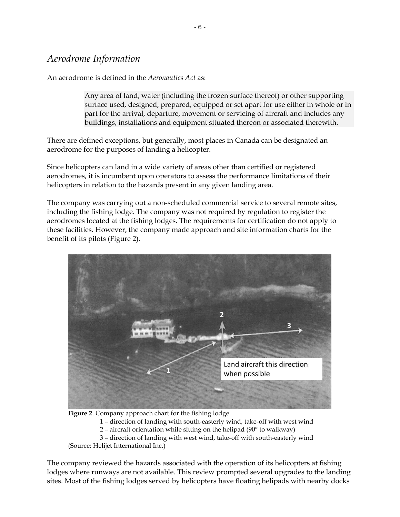#### *Aerodrome Information*

An aerodrome is defined in the *Aeronautics Act* as:

Any area of land, water (including the frozen surface thereof) or other supporting surface used, designed, prepared, equipped or set apart for use either in whole or in part for the arrival, departure, movement or servicing of aircraft and includes any buildings, installations and equipment situated thereon or associated therewith.

There are defined exceptions, but generally, most places in Canada can be designated an aerodrome for the purposes of landing a helicopter.

Since helicopters can land in a wide variety of areas other than certified or registered aerodromes, it is incumbent upon operators to assess the performance limitations of their helicopters in relation to the hazards present in any given landing area.

The company was carrying out a non-scheduled commercial service to several remote sites, including the fishing lodge. The company was not required by regulation to register the aerodromes located at the fishing lodges. The requirements for certification do not apply to these facilities. However, the company made approach and site information charts for the benefit of its pilots [\(Figure 2\)](#page-5-0).



<span id="page-5-0"></span>**Figure 2**. Company approach chart for the fishing lodge

1 – direction of landing with south-easterly wind, take-off with west wind

2 – aircraft orientation while sitting on the helipad (90° to walkway)

3 – direction of landing with west wind, take-off with south-easterly wind (Source: Helijet International Inc.)

The company reviewed the hazards associated with the operation of its helicopters at fishing lodges where runways are not available. This review prompted several upgrades to the landing sites. Most of the fishing lodges served by helicopters have floating helipads with nearby docks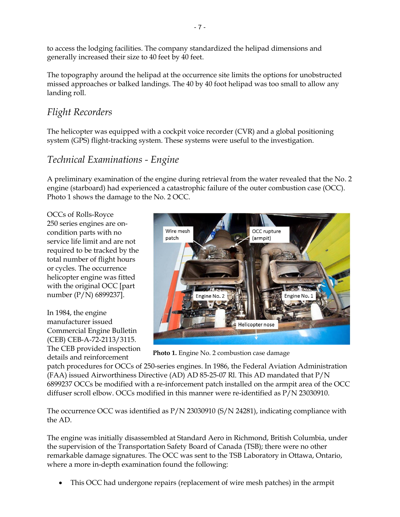to access the lodging facilities. The company standardized the helipad dimensions and generally increased their size to 40 feet by 40 feet.

The topography around the helipad at the occurrence site limits the options for unobstructed missed approaches or balked landings. The 40 by 40 foot helipad was too small to allow any landing roll.

### *Flight Recorders*

The helicopter was equipped with a cockpit voice recorder (CVR) and a global positioning system (GPS) flight-tracking system. These systems were useful to the investigation.

### *Technical Examinations - Engine*

A preliminary examination of the engine during retrieval from the water revealed that the No. 2 engine (starboard) had experienced a catastrophic failure of the outer combustion case (OCC). Photo 1 shows the damage to the No. 2 OCC.

OCCs of Rolls-Royce 250 series engines are oncondition parts with no service life limit and are not required to be tracked by the total number of flight hours or cycles. The occurrence helicopter engine was fitted with the original OCC [part number (P/N) 6899237].

In 1984, the engine manufacturer issued Commercial Engine Bulletin (CEB) CEB-A-72-2113/3115. The CEB provided inspection details and reinforcement



**Photo 1.** Engine No. 2 combustion case damage

patch procedures for OCCs of 250-series engines. In 1986, the Federal Aviation Administration (FAA) issued Airworthiness Directive (AD) AD 85-25-07 Rl. This AD mandated that P/N 6899237 OCCs be modified with a re-inforcement patch installed on the armpit area of the OCC diffuser scroll elbow. OCCs modified in this manner were re-identified as P/N 23030910.

The occurrence OCC was identified as P/N 23030910 (S/N 24281), indicating compliance with the AD.

The engine was initially disassembled at Standard Aero in Richmond, British Columbia, under the supervision of the Transportation Safety Board of Canada (TSB); there were no other remarkable damage signatures. The OCC was sent to the TSB Laboratory in Ottawa, Ontario, where a more in-depth examination found the following:

This OCC had undergone repairs (replacement of wire mesh patches) in the armpit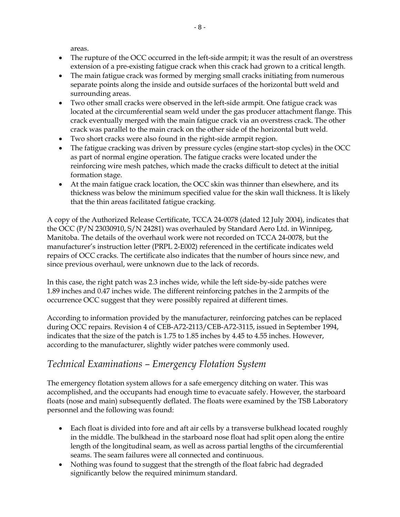areas.

- The rupture of the OCC occurred in the left-side armpit; it was the result of an overstress extension of a pre-existing fatigue crack when this crack had grown to a critical length.
- The main fatigue crack was formed by merging small cracks initiating from numerous separate points along the inside and outside surfaces of the horizontal butt weld and surrounding areas.
- Two other small cracks were observed in the left-side armpit. One fatigue crack was located at the circumferential seam weld under the gas producer attachment flange. This crack eventually merged with the main fatigue crack via an overstress crack. The other crack was parallel to the main crack on the other side of the horizontal butt weld.
- Two short cracks were also found in the right-side armpit region.
- The fatigue cracking was driven by pressure cycles (engine start-stop cycles) in the OCC as part of normal engine operation. The fatigue cracks were located under the reinforcing wire mesh patches, which made the cracks difficult to detect at the initial formation stage.
- At the main fatigue crack location, the OCC skin was thinner than elsewhere, and its thickness was below the minimum specified value for the skin wall thickness. It is likely that the thin areas facilitated fatigue cracking.

A copy of the Authorized Release Certificate, TCCA 24-0078 (dated 12 July 2004), indicates that the OCC (P/N 23030910, S/N 24281) was overhauled by Standard Aero Ltd. in Winnipeg, Manitoba. The details of the overhaul work were not recorded on TCCA 24-0078, but the manufacturer's instruction letter (PRPL 2-E002) referenced in the certificate indicates weld repairs of OCC cracks. The certificate also indicates that the number of hours since new, and since previous overhaul, were unknown due to the lack of records.

In this case, the right patch was 2.3 inches wide, while the left side-by-side patches were 1.89 inches and 0.47 inches wide. The different reinforcing patches in the 2 armpits of the occurrence OCC suggest that they were possibly repaired at different tim**e**s.

According to information provided by the manufacturer, reinforcing patches can be replaced during OCC repairs. Revision 4 of CEB-A72-2113/CEB-A72-3115, issued in September 1994, indicates that the size of the patch is 1.75 to 1.85 inches by 4.45 to 4.55 inches. However, according to the manufacturer, slightly wider patches were commonly used.

## *Technical Examinations – Emergency Flotation System*

The emergency flotation system allows for a safe emergency ditching on water. This was accomplished, and the occupants had enough time to evacuate safely. However, the starboard floats (nose and main) subsequently deflated. The floats were examined by the TSB Laboratory personnel and the following was found:

- Each float is divided into fore and aft air cells by a transverse bulkhead located roughly in the middle. The bulkhead in the starboard nose float had split open along the entire length of the longitudinal seam, as well as across partial lengths of the circumferential seams. The seam failures were all connected and continuous.
- Nothing was found to suggest that the strength of the float fabric had degraded significantly below the required minimum standard.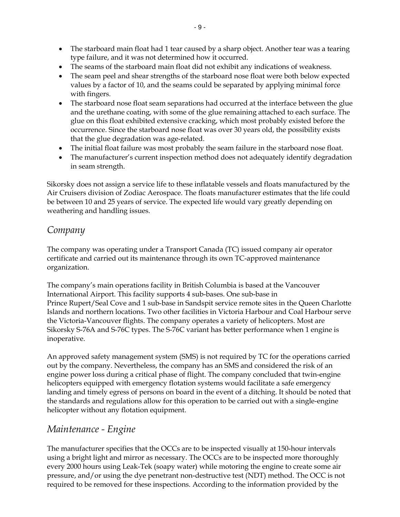- The starboard main float had 1 tear caused by a sharp object. Another tear was a tearing type failure, and it was not determined how it occurred.
- The seams of the starboard main float did not exhibit any indications of weakness.
- The seam peel and shear strengths of the starboard nose float were both below expected values by a factor of 10, and the seams could be separated by applying minimal force with fingers.
- The starboard nose float seam separations had occurred at the interface between the glue and the urethane coating, with some of the glue remaining attached to each surface. The glue on this float exhibited extensive cracking, which most probably existed before the occurrence. Since the starboard nose float was over 30 years old, the possibility exists that the glue degradation was age-related.
- The initial float failure was most probably the seam failure in the starboard nose float.
- The manufacturer's current inspection method does not adequately identify degradation in seam strength.

Sikorsky does not assign a service life to these inflatable vessels and floats manufactured by the Air Cruisers division of Zodiac Aerospace. The floats manufacturer estimates that the life could be between 10 and 25 years of service. The expected life would vary greatly depending on weathering and handling issues.

#### *Company*

The company was operating under a Transport Canada (TC) issued company air operator certificate and carried out its maintenance through its own TC-approved maintenance organization.

The company's main operations facility in British Columbia is based at the Vancouver International Airport. This facility supports 4 sub-bases. One sub-base in Prince Rupert/Seal Cove and 1 sub-base in Sandspit service remote sites in the Queen Charlotte Islands and northern locations. Two other facilities in Victoria Harbour and Coal Harbour serve the Victoria-Vancouver flights. The company operates a variety of helicopters. Most are Sikorsky S-76A and S-76C types. The S-76C variant has better performance when 1 engine is inoperative.

An approved safety management system (SMS) is not required by TC for the operations carried out by the company. Nevertheless, the company has an SMS and considered the risk of an engine power loss during a critical phase of flight. The company concluded that twin-engine helicopters equipped with emergency flotation systems would facilitate a safe emergency landing and timely egress of persons on board in the event of a ditching. It should be noted that the standards and regulations allow for this operation to be carried out with a single-engine helicopter without any flotation equipment.

## *Maintenance - Engine*

The manufacturer specifies that the OCCs are to be inspected visually at 150-hour intervals using a bright light and mirror as necessary. The OCCs are to be inspected more thoroughly every 2000 hours using Leak-Tek (soapy water) while motoring the engine to create some air pressure, and/or using the dye penetrant non-destructive test (NDT) method. The OCC is not required to be removed for these inspections. According to the information provided by the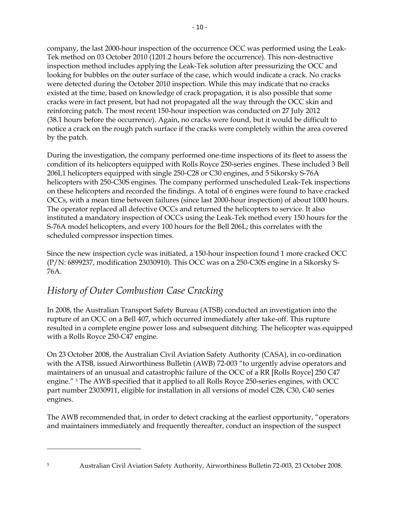company, the last 2000-hour inspection of the occurrence OCC was performed using the Leak-Tek method on 03 October 2010 (1201.2 hours before the occurrence). This non-destructive inspection method includes applying the Leak-Tek solution after pressurizing the OCC and looking for bubbles on the outer surface of the case, which would indicate a crack. No cracks were detected during the October 2010 inspection. While this may indicate that no cracks existed at the time, based on knowledge of crack propagation, it is also possible that some cracks were in fact present, but had not propagated all the way through the OCC skin and reinforcing patch. The most recent 150-hour inspection was conducted on 27 July 2012 (38.1 hours before the occurrence). Again, no cracks were found, but it would be difficult to notice a crack on the rough patch surface if the cracks were completely within the area covered by the patch.

During the investigation, the company performed one-time inspections of its fleet to assess the condition of its helicopters equipped with Rolls Royce 250-series engines. These included 3 Bell 206L1 helicopters equipped with single 250-C28 or C30 engines, and 5 Sikorsky S-76A helicopters with 250-C30S engines. The company performed unscheduled Leak-Tek inspections on these helicopters and recorded the findings. A total of 6 engines were found to have cracked OCCs, with a mean time between failures (since last 2000-hour inspection) of about 1000 hours. The operator replaced all defective OCCs and returned the helicopters to service. It also instituted a mandatory inspection of OCCs using the Leak-Tek method every 150 hours for the S-76A model helicopters, and every 100 hours for the Bell 206L; this correlates with the scheduled compressor inspection times.

Since the new inspection cycle was initiated, a 150-hour inspection found 1 more cracked OCC (P/N: 6899237, modification 23030910). This OCC was on a 250-C30S engine in a Sikorsky S-76A.

## *History of Outer Combustion Case Cracking*

In 2008, the Australian Transport Safety Bureau (ATSB) conducted an investigation into the rupture of an OCC on a Bell 407, which occurred immediately after take-off. This rupture resulted in a complete engine power loss and subsequent ditching. The helicopter was equipped with a Rolls Royce 250-C47 engine.

On 23 October 2008, the Australian Civil Aviation Safety Authority (CASA), in co-ordination with the ATSB, issued Airworthiness Bulletin (AWB) 72-003 "to urgently advise operators and maintainers of an unusual and catastrophic failure of the OCC of a RR [Rolls Royce] 250 C47 engine." <sup>5</sup> The AWB specified that it applied to all Rolls Royce 250-series engines, with OCC part number 23030911, eligible for installation in all versions of model C28, C30, C40 series engines.

The AWB recommended that, in order to detect cracking at the earliest opportunity, "operators and maintainers immediately and frequently thereafter, conduct an inspection of the suspect

 $\overline{a}$ 

<sup>5</sup> Australian Civil Aviation Safety Authority, Airworthiness Bulletin 72-003, 23 October 2008.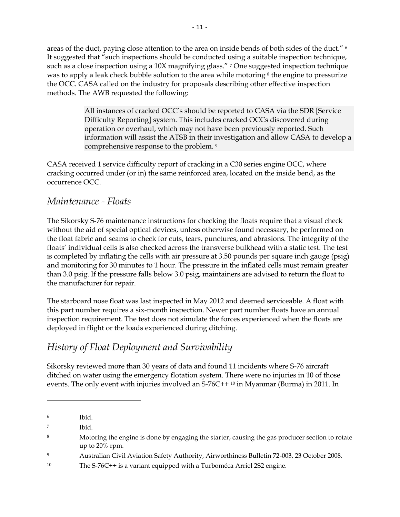areas of the duct, paying close attention to the area on inside bends of both sides of the duct." <sup>6</sup> It suggested that "such inspections should be conducted using a suitable inspection technique, such as a close inspection using a 10X magnifying glass." 7 One suggested inspection technique was to apply a leak check bubble solution to the area while motoring <sup>8</sup> the engine to pressurize the OCC. CASA called on the industry for proposals describing other effective inspection methods. The AWB requested the following:

> All instances of cracked OCC's should be reported to CASA via the SDR [Service Difficulty Reporting] system. This includes cracked OCCs discovered during operation or overhaul, which may not have been previously reported. Such information will assist the ATSB in their investigation and allow CASA to develop a comprehensive response to the problem. 9

CASA received 1 service difficulty report of cracking in a C30 series engine OCC, where cracking occurred under (or in) the same reinforced area, located on the inside bend, as the occurrence OCC.

#### *Maintenance - Floats*

The Sikorsky S-76 maintenance instructions for checking the floats require that a visual check without the aid of special optical devices, unless otherwise found necessary, be performed on the float fabric and seams to check for cuts, tears, punctures, and abrasions. The integrity of the floats' individual cells is also checked across the transverse bulkhead with a static test. The test is completed by inflating the cells with air pressure at 3.50 pounds per square inch gauge (psig) and monitoring for 30 minutes to 1 hour. The pressure in the inflated cells must remain greater than 3.0 psig. If the pressure falls below 3.0 psig, maintainers are advised to return the float to the manufacturer for repair.

The starboard nose float was last inspected in May 2012 and deemed serviceable. A float with this part number requires a six-month inspection. Newer part number floats have an annual inspection requirement. The test does not simulate the forces experienced when the floats are deployed in flight or the loads experienced during ditching.

### *History of Float Deployment and Survivability*

Sikorsky reviewed more than 30 years of data and found 11 incidents where S-76 aircraft ditched on water using the emergency flotation system. There were no injuries in 10 of those events. The only event with injuries involved an  $S-76C++10$  in Myanmar (Burma) in 2011. In

 $\ddot{\phantom{a}}$ 

<sup>6</sup> Ibid.

<sup>7</sup> Ibid.

<sup>&</sup>lt;sup>8</sup> Motoring the engine is done by engaging the starter, causing the gas producer section to rotate up to 20% rpm.

<sup>9</sup> Australian Civil Aviation Safety Authority, Airworthiness Bulletin 72-003, 23 October 2008.

<sup>10</sup> The S-76C++ is a variant equipped with a Turboméca Arriel 2S2 engine.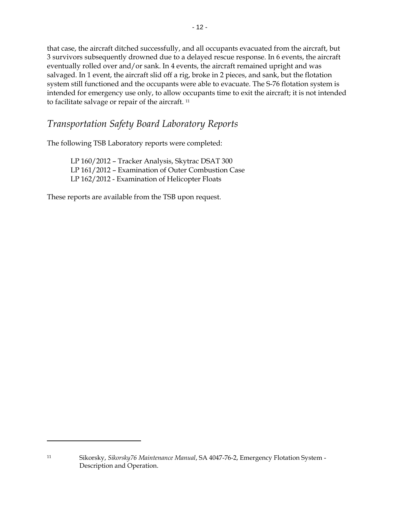that case, the aircraft ditched successfully, and all occupants evacuated from the aircraft, but 3 survivors subsequently drowned due to a delayed rescue response. In 6 events, the aircraft eventually rolled over and/or sank. In 4 events, the aircraft remained upright and was salvaged. In 1 event, the aircraft slid off a rig, broke in 2 pieces, and sank, but the flotation system still functioned and the occupants were able to evacuate. The S-76 flotation system is intended for emergency use only, to allow occupants time to exit the aircraft; it is not intended to facilitate salvage or repair of the aircraft. <sup>11</sup>

#### *Transportation Safety Board Laboratory Reports*

The following TSB Laboratory reports were completed:

LP 160/2012 – Tracker Analysis, Skytrac DSAT 300 LP 161/2012 – Examination of Outer Combustion Case LP 162/2012 - Examination of Helicopter Floats

These reports are available from the TSB upon request.

 $\overline{a}$ 

<sup>11</sup> Sikorsky, *Sikorsky76 Maintenance Manual*, SA 4047-76-2, Emergency Flotation System - Description and Operation.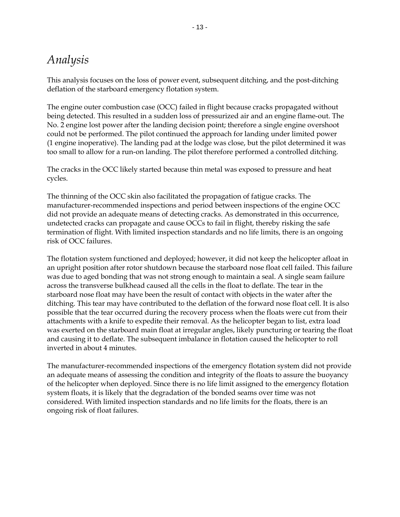# *Analysis*

This analysis focuses on the loss of power event, subsequent ditching, and the post-ditching deflation of the starboard emergency flotation system.

The engine outer combustion case (OCC) failed in flight because cracks propagated without being detected. This resulted in a sudden loss of pressurized air and an engine flame-out. The No. 2 engine lost power after the landing decision point; therefore a single engine overshoot could not be performed. The pilot continued the approach for landing under limited power (1 engine inoperative). The landing pad at the lodge was close, but the pilot determined it was too small to allow for a run-on landing. The pilot therefore performed a controlled ditching.

The cracks in the OCC likely started because thin metal was exposed to pressure and heat cycles.

The thinning of the OCC skin also facilitated the propagation of fatigue cracks. The manufacturer-recommended inspections and period between inspections of the engine OCC did not provide an adequate means of detecting cracks. As demonstrated in this occurrence, undetected cracks can propagate and cause OCCs to fail in flight, thereby risking the safe termination of flight. With limited inspection standards and no life limits, there is an ongoing risk of OCC failures.

The flotation system functioned and deployed; however, it did not keep the helicopter afloat in an upright position after rotor shutdown because the starboard nose float cell failed. This failure was due to aged bonding that was not strong enough to maintain a seal. A single seam failure across the transverse bulkhead caused all the cells in the float to deflate. The tear in the starboard nose float may have been the result of contact with objects in the water after the ditching. This tear may have contributed to the deflation of the forward nose float cell. It is also possible that the tear occurred during the recovery process when the floats were cut from their attachments with a knife to expedite their removal. As the helicopter began to list, extra load was exerted on the starboard main float at irregular angles, likely puncturing or tearing the float and causing it to deflate. The subsequent imbalance in flotation caused the helicopter to roll inverted in about 4 minutes.

The manufacturer-recommended inspections of the emergency flotation system did not provide an adequate means of assessing the condition and integrity of the floats to assure the buoyancy of the helicopter when deployed. Since there is no life limit assigned to the emergency flotation system floats, it is likely that the degradation of the bonded seams over time was not considered. With limited inspection standards and no life limits for the floats, there is an ongoing risk of float failures.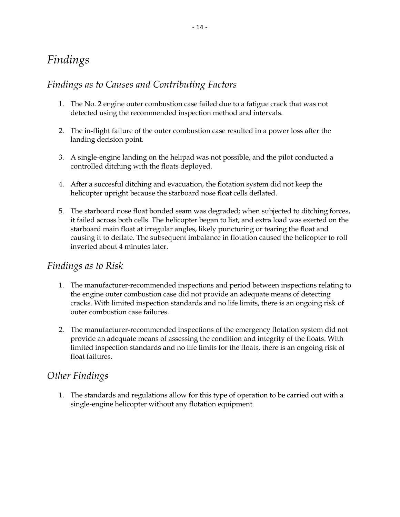# *Findings*

### *Findings as to Causes and Contributing Factors*

- 1. The No. 2 engine outer combustion case failed due to a fatigue crack that was not detected using the recommended inspection method and intervals.
- 2. The in-flight failure of the outer combustion case resulted in a power loss after the landing decision point.
- 3. A single-engine landing on the helipad was not possible, and the pilot conducted a controlled ditching with the floats deployed.
- 4. After a succesful ditching and evacuation, the flotation system did not keep the helicopter upright because the starboard nose float cells deflated.
- 5. The starboard nose float bonded seam was degraded; when subjected to ditching forces, it failed across both cells. The helicopter began to list, and extra load was exerted on the starboard main float at irregular angles, likely puncturing or tearing the float and causing it to deflate. The subsequent imbalance in flotation caused the helicopter to roll inverted about 4 minutes later.

#### *Findings as to Risk*

- 1. The manufacturer-recommended inspections and period between inspections relating to the engine outer combustion case did not provide an adequate means of detecting cracks. With limited inspection standards and no life limits, there is an ongoing risk of outer combustion case failures.
- 2. The manufacturer-recommended inspections of the emergency flotation system did not provide an adequate means of assessing the condition and integrity of the floats. With limited inspection standards and no life limits for the floats, there is an ongoing risk of float failures.

### *Other Findings*

1. The standards and regulations allow for this type of operation to be carried out with a single-engine helicopter without any flotation equipment.